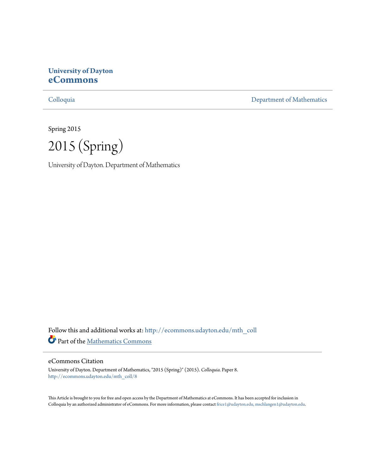# **University of Dayton [eCommons](http://ecommons.udayton.edu?utm_source=ecommons.udayton.edu%2Fmth_coll%2F8&utm_medium=PDF&utm_campaign=PDFCoverPages)**

[Colloquia](http://ecommons.udayton.edu/mth_coll?utm_source=ecommons.udayton.edu%2Fmth_coll%2F8&utm_medium=PDF&utm_campaign=PDFCoverPages) [Department of Mathematics](http://ecommons.udayton.edu/mth?utm_source=ecommons.udayton.edu%2Fmth_coll%2F8&utm_medium=PDF&utm_campaign=PDFCoverPages)

Spring 2015

2015 (Spring)

University of Dayton. Department of Mathematics

Follow this and additional works at: [http://ecommons.udayton.edu/mth\\_coll](http://ecommons.udayton.edu/mth_coll?utm_source=ecommons.udayton.edu%2Fmth_coll%2F8&utm_medium=PDF&utm_campaign=PDFCoverPages) Part of the [Mathematics Commons](http://network.bepress.com/hgg/discipline/174?utm_source=ecommons.udayton.edu%2Fmth_coll%2F8&utm_medium=PDF&utm_campaign=PDFCoverPages)

#### eCommons Citation

University of Dayton. Department of Mathematics, "2015 (Spring)" (2015). *Colloquia.* Paper 8. [http://ecommons.udayton.edu/mth\\_coll/8](http://ecommons.udayton.edu/mth_coll/8?utm_source=ecommons.udayton.edu%2Fmth_coll%2F8&utm_medium=PDF&utm_campaign=PDFCoverPages)

This Article is brought to you for free and open access by the Department of Mathematics at eCommons. It has been accepted for inclusion in Colloquia by an authorized administrator of eCommons. For more information, please contact [frice1@udayton.edu, mschlangen1@udayton.edu.](mailto:frice1@udayton.edu,%20mschlangen1@udayton.edu)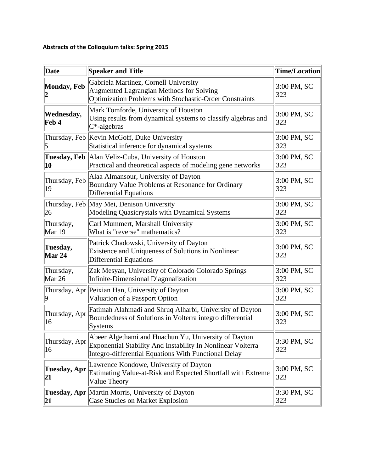## **Abstracts of the Colloquium talks: Spring 2015**

| Date                                   | <b>Speaker and Title</b>                                                                                                                                                    | <b>Time/Location</b> |
|----------------------------------------|-----------------------------------------------------------------------------------------------------------------------------------------------------------------------------|----------------------|
| <b>Monday, Feb</b><br>$\boldsymbol{2}$ | Gabriela Martinez, Cornell University<br><b>Augmented Lagrangian Methods for Solving</b><br>Optimization Problems with Stochastic-Order Constraints                         | 3:00 PM, SC<br>323   |
| Wednesday,<br>Feb 4                    | Mark Tomforde, University of Houston<br>Using results from dynamical systems to classify algebras and<br>C*-algebras                                                        | 3:00 PM, SC<br>323   |
| 5                                      | Thursday, Feb Kevin McGoff, Duke University<br>Statistical inference for dynamical systems                                                                                  | 3:00 PM, SC<br>323   |
| 10                                     | Tuesday, Feb   Alan Veliz-Cuba, University of Houston<br>Practical and theoretical aspects of modeling gene networks                                                        | 3:00 PM, SC<br>323   |
| Thursday, Feb<br>19                    | Alaa Almansour, University of Dayton<br>Boundary Value Problems at Resonance for Ordinary<br><b>Differential Equations</b>                                                  | 3:00 PM, SC<br>323   |
| 26                                     | Thursday, Feb May Mei, Denison University<br>Modeling Quasicrystals with Dynamical Systems                                                                                  | 3:00 PM, SC<br>323   |
| Thursday,<br>Mar 19                    | Carl Mummert, Marshall University<br>What is "reverse" mathematics?                                                                                                         | 3:00 PM, SC<br>323   |
| Tuesday,<br><b>Mar 24</b>              | Patrick Chadowski, University of Dayton<br>Existence and Uniqueness of Solutions in Nonlinear<br><b>Differential Equations</b>                                              | 3:00 PM, SC<br>323   |
| Thursday,<br>Mar 26                    | Zak Mesyan, University of Colorado Colorado Springs<br>Infinite-Dimensional Diagonalization                                                                                 | 3:00 PM, SC<br>323   |
| Thursday, Apr<br>9                     | Peixian Han, University of Dayton<br>Valuation of a Passport Option                                                                                                         | 3:00 PM, SC<br>323   |
| Thursday, Apr<br>16                    | Fatimah Alahmadi and Shruq Alharbi, University of Dayton<br>Boundedness of Solutions in Volterra integro differential<br><b>Systems</b>                                     | 3:00 PM, SC<br>323   |
| Thursday, Apr<br>16                    | Abeer Algethami and Huachun Yu, University of Dayton<br>Exponential Stability And Instability In Nonlinear Volterra<br>Integro-differential Equations With Functional Delay | 3:30 PM, SC<br>323   |
| <b>Tuesday, Apr</b><br>21              | Lawrence Kondowe, University of Dayton<br>Estimating Value-at-Risk and Expected Shortfall with Extreme<br>Value Theory                                                      | 3:00 PM, SC<br>323   |
| 21                                     | Tuesday, Apr Martin Morris, University of Dayton<br><b>Case Studies on Market Explosion</b>                                                                                 | 3:30 PM, SC<br>323   |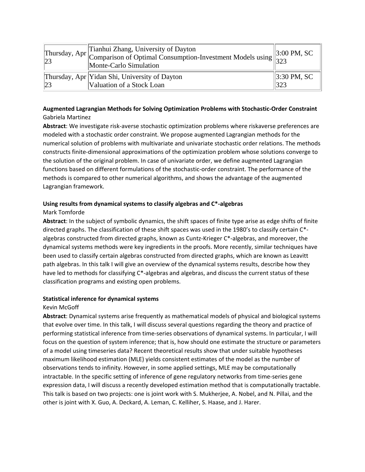|    | Thursday, Apr Tianhui Zhang, University of Dayton<br>Comparison of Optimal Consumption-Investment Models using $\begin{bmatrix} 3:00 \ 3:23 \end{bmatrix}$<br>Monte-Carlo Simulation | $\parallel$ 3:00 PM, SC         |
|----|--------------------------------------------------------------------------------------------------------------------------------------------------------------------------------------|---------------------------------|
| 23 | Thursday, Apr Yidan Shi, University of Dayton<br>Valuation of a Stock Loan                                                                                                           | $\parallel$ 3:30 PM, SC<br> 323 |

## **Augmented Lagrangian Methods for Solving Optimization Problems with Stochastic‐Order Constraint** Gabriela Martinez

**Abstract**: We investigate risk‐averse stochastic optimization problems where riskaverse preferences are modeled with a stochastic order constraint. We propose augmented Lagrangian methods for the numerical solution of problems with multivariate and univariate stochastic order relations. The methods constructs finite‐dimensional approximations of the optimization problem whose solutions converge to the solution of the original problem. In case of univariate order, we define augmented Lagrangian functions based on different formulations of the stochastic‐order constraint. The performance of the methods is compared to other numerical algorithms, and shows the advantage of the augmented Lagrangian framework.

## **Using results from dynamical systems to classify algebras and C\*‐algebras**

#### Mark Tomforde

**Abstract**: In the subject of symbolic dynamics, the shift spaces of finite type arise as edge shifts of finite directed graphs. The classification of these shift spaces was used in the 1980's to classify certain C\*‐ algebras constructed from directed graphs, known as Cuntz‐Krieger C\*‐algebras, and moreover, the dynamical systems methods were key ingredients in the proofs. More recently, similar techniques have been used to classify certain algebras constructed from directed graphs, which are known as Leavitt path algebras. In this talk I will give an overview of the dynamical systems results, describe how they have led to methods for classifying C\*-algebras and algebras, and discuss the current status of these classification programs and existing open problems.

## **Statistical inference for dynamical systems**

#### Kevin McGoff

**Abstract**: Dynamical systems arise frequently as mathematical models of physical and biological systems that evolve over time. In this talk, I will discuss several questions regarding the theory and practice of performing statistical inference from time‐series observations of dynamical systems. In particular, I will focus on the question of system inference; that is, how should one estimate the structure or parameters of a model using timeseries data? Recent theoretical results show that under suitable hypotheses maximum likelihood estimation (MLE) yields consistent estimates of the model as the number of observations tends to infinity. However, in some applied settings, MLE may be computationally intractable. In the specific setting of inference of gene regulatory networks from time‐series gene expression data, I will discuss a recently developed estimation method that is computationally tractable. This talk is based on two projects: one is joint work with S. Mukherjee, A. Nobel, and N. Pillai, and the other is joint with X. Guo, A. Deckard, A. Leman, C. Kelliher, S. Haase, and J. Harer.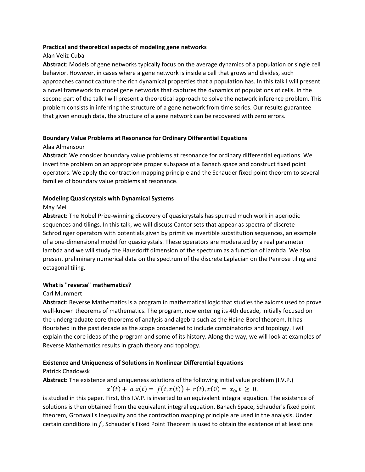#### **Practical and theoretical aspects of modeling gene networks**

## Alan Veliz‐Cuba

**Abstract**: Models of gene networks typically focus on the average dynamics of a population or single cell behavior. However, in cases where a gene network is inside a cell that grows and divides, such approaches cannot capture the rich dynamical properties that a population has. In this talk I will present a novel framework to model gene networks that captures the dynamics of populations of cells. In the second part of the talk I will present a theoretical approach to solve the network inference problem. This problem consists in inferring the structure of a gene network from time series. Our results guarantee that given enough data, the structure of a gene network can be recovered with zero errors.

# **Boundary Value Problems at Resonance for Ordinary Differential Equations**

### Alaa Almansour

**Abstract**: We consider boundary value problems at resonance for ordinary differential equations. We invert the problem on an appropriate proper subspace of a Banach space and construct fixed point operators. We apply the contraction mapping principle and the Schauder fixed point theorem to several families of boundary value problems at resonance.

## **Modeling Quasicrystals with Dynamical Systems**

#### May Mei

**Abstract**: The Nobel Prize‐winning discovery of quasicrystals has spurred much work in aperiodic sequences and tilings. In this talk, we will discuss Cantor sets that appear as spectra of discrete Schrodinger operators with potentials given by primitive invertible substitution sequences, an example of a one‐dimensional model for quasicrystals. These operators are moderated by a real parameter lambda and we will study the Hausdorff dimension of the spectrum as a function of lambda. We also present preliminary numerical data on the spectrum of the discrete Laplacian on the Penrose tiling and octagonal tiling.

#### **What is "reverse" mathematics?**

## Carl Mummert

**Abstract**: Reverse Mathematics is a program in mathematical logic that studies the axioms used to prove well-known theorems of mathematics. The program, now entering its 4th decade, initially focused on the undergraduate core theorems of analysis and algebra such as the Heine‐Borel theorem. It has flourished in the past decade as the scope broadened to include combinatorics and topology. I will explain the core ideas of the program and some of its history. Along the way, we will look at examples of Reverse Mathematics results in graph theory and topology.

## **Existence and Uniqueness of Solutions in Nonlinear Differential Equations**

#### Patrick Chadowsk

**Abstract**: The existence and uniqueness solutions of the following initial value problem (I.V.P.)

 $x'(t) + a x(t) = f(t, x(t)) + r(t), x(0) = x_0, t \ge 0,$ 

is studied in this paper. First, this I.V.P. is inverted to an equivalent integral equation. The existence of solutions is then obtained from the equivalent integral equation. Banach Space, Schauder's fixed point theorem, Gronwall's Inequality and the contraction mapping principle are used in the analysis. Under certain conditions in  $f$ , Schauder's Fixed Point Theorem is used to obtain the existence of at least one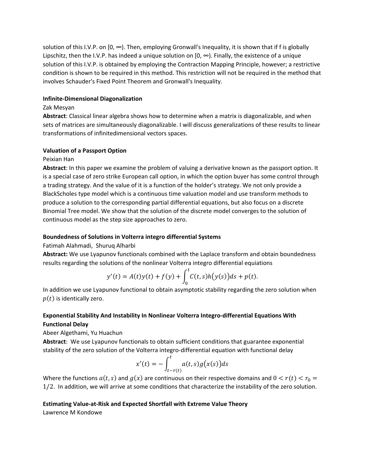solution of this I.V.P. on  $[0, \infty)$ . Then, employing Gronwall's Inequality, it is shown that if f is globally Lipschitz, then the I.V.P. has indeed a unique solution on  $[0, \infty)$ . Finally, the existence of a unique solution of this I.V.P. is obtained by employing the Contraction Mapping Principle, however; a restrictive condition is shown to be required in this method. This restriction will not be required in the method that involves Schauder's Fixed Point Theorem and Gronwall's Inequality.

#### **Infinite‐Dimensional Diagonalization**

## Zak Mesyan

**Abstract**: Classical linear algebra shows how to determine when a matrix is diagonalizable, and when sets of matrices are simultaneously diagonalizable. I will discuss generalizations of these results to linear transformations of infinitedimensional vectors spaces.

## **Valuation of a Passport Option**

## Peixian Han

**Abstract**: In this paper we examine the problem of valuing a derivative known as the passport option. It is a special case of zero strike European call option, in which the option buyer has some control through a trading strategy. And the value of it is a function of the holder's strategy. We not only provide a BlackScholes type model which is a continuous time valuation model and use transform methods to produce a solution to the corresponding partial differential equations, but also focus on a discrete Binomial Tree model. We show that the solution of the discrete model converges to the solution of continuous model as the step size approaches to zero.

## **Boundedness of Solutions in Volterra integro differential Systems**

Fatimah Alahmadi, Shuruq Alharbi

**Abstract:** We use Lyapunov functionals combined with the Laplace transform and obtain boundedness results regarding the solutions of the nonlinear Volterra integro differential equiations

$$
y'(t) = A(t)y(t) + f(y) + \int_0^t C(t,s)h(y(s))ds + p(t).
$$

In addition we use Lyapunov functional to obtain asymptotic stability regarding the zero solution when  $p(t)$  is identically zero.

## **Exponential Stability And Instability In Nonlinear Volterra Integro‐differential Equations With Functional Delay**

## Abeer Algethami, Yu Huachun

**Abstract**: We use Lyapunov functionals to obtain sufficient conditions that guarantee exponential stability of the zero solution of the Volterra integro-differential equation with functional delay

$$
x'(t) = -\int_{t-r(t)}^{t} a(t,s)g(x(s))ds
$$

Where the functions  $a(t, s)$  and  $g(x)$  are continuous on their respective domains and  $0 < r(t) < r_0 =$ 1/2. In addition, we will arrive at some conditions that characterize the instability of the zero solution.

#### **Estimating Value‐at‐Risk and Expected Shortfall with Extreme Value Theory**

Lawrence M Kondowe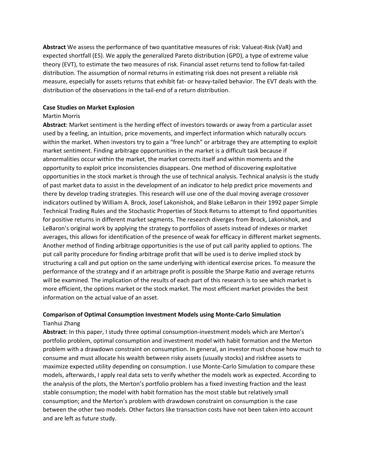**Abstract** We assess the performance of two quantitative measures of risk: Valueat‐Risk (VaR) and expected shortfall (ES). We apply the generalized Pareto distribution (GPD), a type of extreme value theory (EVT), to estimate the two measures of risk. Financial asset returns tend to follow fat‐tailed distribution. The assumption of normal returns in estimating risk does not present a reliable risk measure, especially for assets returns that exhibit fat- or heavy-tailed behavior. The EVT deals with the distribution of the observations in the tail‐end of a return distribution.

#### **Case Studies on Market Explosion**

#### Martin Morris

**Abstract**: Market sentiment is the herding effect of investors towards or away from a particular asset used by a feeling, an intuition, price movements, and imperfect information which naturally occurs within the market. When investors try to gain a "free lunch" or arbitrage they are attempting to exploit market sentiment. Finding arbitrage opportunities in the market is a difficult task because if abnormalities occur within the market, the market corrects itself and within moments and the opportunity to exploit price inconsistencies disappears. One method of discovering exploitative opportunities in the stock market is through the use of technical analysis. Technical analysis is the study of past market data to assist in the development of an indicator to help predict price movements and there by develop trading strategies. This research will use one of the dual moving average crossover indicators outlined by William A. Brock, Josef Lakonishok, and Blake LeBaron in their 1992 paper Simple Technical Trading Rules and the Stochastic Properties of Stock Returns to attempt to find opportunities for positive returns in different market segments. The research diverges from Brock, Lakonishok, and LeBaron's original work by applying the strategy to portfolios of assets instead of indexes or market averages, this allows for identification of the presence of weak for efficacy in different market segments. Another method of finding arbitrage opportunities is the use of put call parity applied to options. The put call parity procedure for finding arbitrage profit that will be used is to derive implied stock by structuring a call and put option on the same underlying with identical exercise prices. To measure the performance of the strategy and if an arbitrage profit is possible the Sharpe Ratio and average returns will be examined. The implication of the results of each part of this research is to see which market is more efficient, the options market or the stock market. The most efficient market provides the best information on the actual value of an asset.

## **Comparison of Optimal Consumption Investment Models using Monte‐Carlo Simulation** Tianhui Zhang

**Abstract**: In this paper, I study three optimal consumption‐investment models which are Merton's portfolio problem, optimal consumption and investment model with habit formation and the Merton problem with a drawdown constraint on consumption. In general, an investor must choose how much to consume and must allocate his wealth between risky assets (usually stocks) and riskfree assets to maximize expected utility depending on consumption. I use Monte‐Carlo Simulation to compare these models, afterwards, I apply real data sets to verify whether the models work as expected. According to the analysis of the plots, the Merton's portfolio problem has a fixed investing fraction and the least stable consumption; the model with habit formation has the most stable but relatively small consumption; and the Merton's problem with drawdown constraint on consumption is the case between the other two models. Other factors like transaction costs have not been taken into account and are left as future study.